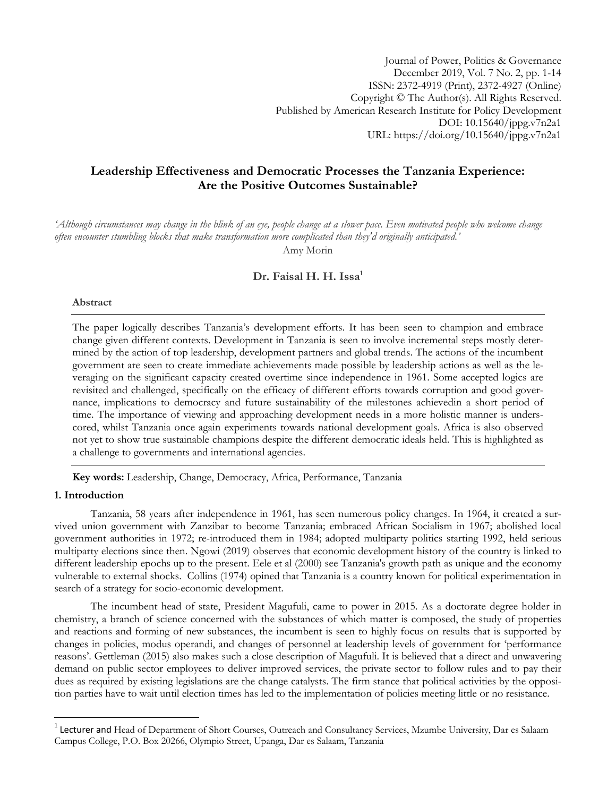Journal of Power, Politics & Governance December 2019, Vol. 7 No. 2, pp. 1-14 ISSN: 2372-4919 (Print), 2372-4927 (Online) Copyright © The Author(s). All Rights Reserved. Published by American Research Institute for Policy Development DOI: 10.15640/jppg.v7n2a1 URL: https://doi.org/10.15640/jppg.v7n2a1

# **Leadership Effectiveness and Democratic Processes the Tanzania Experience: Are the Positive Outcomes Sustainable?**

'Although circumstances may change in the blink of an eye, people change at a slower pace. Even motivated people who welcome change *often encounter stumbling blocks that make transformation more complicated than they'd originally anticipated.'* Amy Morin

# **Dr. Faisal H. H. Issa<sup>1</sup>**

### **Abstract**

The paper logically describes Tanzania's development efforts. It has been seen to champion and embrace change given different contexts. Development in Tanzania is seen to involve incremental steps mostly determined by the action of top leadership, development partners and global trends. The actions of the incumbent government are seen to create immediate achievements made possible by leadership actions as well as the leveraging on the significant capacity created overtime since independence in 1961. Some accepted logics are revisited and challenged, specifically on the efficacy of different efforts towards corruption and good governance, implications to democracy and future sustainability of the milestones achievedin a short period of time. The importance of viewing and approaching development needs in a more holistic manner is underscored, whilst Tanzania once again experiments towards national development goals. Africa is also observed not yet to show true sustainable champions despite the different democratic ideals held. This is highlighted as a challenge to governments and international agencies.

**Key words:** Leadership, Change, Democracy, Africa, Performance, Tanzania

# **1. Introduction**

 $\overline{a}$ 

Tanzania, 58 years after independence in 1961, has seen numerous policy changes. In 1964, it created a survived union government with Zanzibar to become Tanzania; embraced African Socialism in 1967; abolished local government authorities in 1972; re-introduced them in 1984; adopted multiparty politics starting 1992, held serious multiparty elections since then. Ngowi (2019) observes that economic development history of the country is linked to different leadership epochs up to the present. Eele et al (2000) see Tanzania's growth path as unique and the economy vulnerable to external shocks. Collins (1974) opined that Tanzania is a country known for political experimentation in search of a strategy for socio-economic development.

The incumbent head of state, President Magufuli, came to power in 2015. As a doctorate degree holder in chemistry, a branch of science concerned with the substances of which matter is composed, the study of properties and reactions and forming of new substances, the incumbent is seen to highly focus on results that is supported by changes in policies, modus operandi, and changes of personnel at leadership levels of government for "performance reasons". Gettleman (2015) also makes such a close description of Magufuli. It is believed that a direct and unwavering demand on public sector employees to deliver improved services, the private sector to follow rules and to pay their dues as required by existing legislations are the change catalysts. The firm stance that political activities by the opposition parties have to wait until election times has led to the implementation of policies meeting little or no resistance.

<sup>&</sup>lt;sup>1</sup> Lecturer and Head of Department of Short Courses, Outreach and Consultancy Services, Mzumbe University, Dar es Salaam Campus College, P.O. Box 20266, Olympio Street, Upanga, Dar es Salaam, Tanzania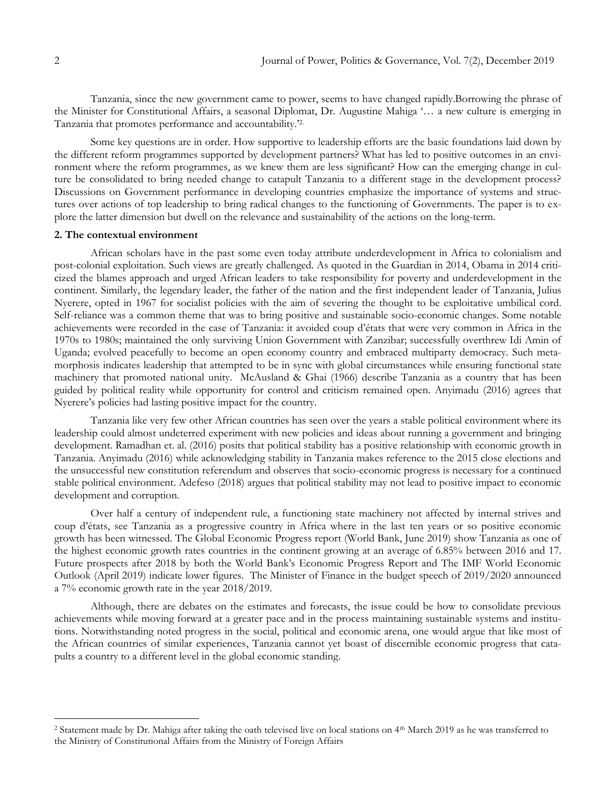Tanzania, since the new government came to power, seems to have changed rapidly.Borrowing the phrase of the Minister for Constitutional Affairs, a seasonal Diplomat, Dr. Augustine Mahiga "… a new culture is emerging in Tanzania that promotes performance and accountability."2.

Some key questions are in order. How supportive to leadership efforts are the basic foundations laid down by the different reform programmes supported by development partners? What has led to positive outcomes in an environment where the reform programmes, as we knew them are less significant? How can the emerging change in culture be consolidated to bring needed change to catapult Tanzania to a different stage in the development process? Discussions on Government performance in developing countries emphasize the importance of systems and structures over actions of top leadership to bring radical changes to the functioning of Governments. The paper is to explore the latter dimension but dwell on the relevance and sustainability of the actions on the long-term.

### **2. The contextual environment**

African scholars have in the past some even today attribute underdevelopment in Africa to colonialism and post-colonial exploitation. Such views are greatly challenged. As quoted in the Guardian in 2014, Obama in 2014 criticized the blames approach and urged African leaders to take responsibility for poverty and underdevelopment in the continent. Similarly, the legendary leader, the father of the nation and the first independent leader of Tanzania, Julius Nyerere, opted in 1967 for socialist policies with the aim of severing the thought to be exploitative umbilical cord. Self-reliance was a common theme that was to bring positive and sustainable socio-economic changes. Some notable achievements were recorded in the case of Tanzania: it avoided coup d"états that were very common in Africa in the 1970s to 1980s; maintained the only surviving Union Government with Zanzibar; successfully overthrew Idi Amin of Uganda; evolved peacefully to become an open economy country and embraced multiparty democracy. Such metamorphosis indicates leadership that attempted to be in sync with global circumstances while ensuring functional state machinery that promoted national unity. McAusland & Ghai (1966) describe Tanzania as a country that has been guided by political reality while opportunity for control and criticism remained open. Anyimadu (2016) agrees that Nyerere"s policies had lasting positive impact for the country.

Tanzania like very few other African countries has seen over the years a stable political environment where its leadership could almost undeterred experiment with new policies and ideas about running a government and bringing development. Ramadhan et. al. (2016) posits that political stability has a positive relationship with economic growth in Tanzania. Anyimadu (2016) while acknowledging stability in Tanzania makes reference to the 2015 close elections and the unsuccessful new constitution referendum and observes that socio-economic progress is necessary for a continued stable political environment. Adefeso (2018) argues that political stability may not lead to positive impact to economic development and corruption.

Over half a century of independent rule, a functioning state machinery not affected by internal strives and coup d"états, see Tanzania as a progressive country in Africa where in the last ten years or so positive economic growth has been witnessed. The Global Economic Progress report (World Bank, June 2019) show Tanzania as one of the highest economic growth rates countries in the continent growing at an average of 6.85% between 2016 and 17. Future prospects after 2018 by both the World Bank"s Economic Progress Report and The IMF World Economic Outlook (April 2019) indicate lower figures. The Minister of Finance in the budget speech of 2019/2020 announced a 7% economic growth rate in the year 2018/2019.

Although, there are debates on the estimates and forecasts, the issue could be how to consolidate previous achievements while moving forward at a greater pace and in the process maintaining sustainable systems and institutions. Notwithstanding noted progress in the social, political and economic arena, one would argue that like most of the African countries of similar experiences, Tanzania cannot yet boast of discernible economic progress that catapults a country to a different level in the global economic standing.

 $\overline{a}$ 

<sup>2</sup> Statement made by Dr. Mahiga after taking the oath televised live on local stations on 4th March 2019 as he was transferred to the Ministry of Constitutional Affairs from the Ministry of Foreign Affairs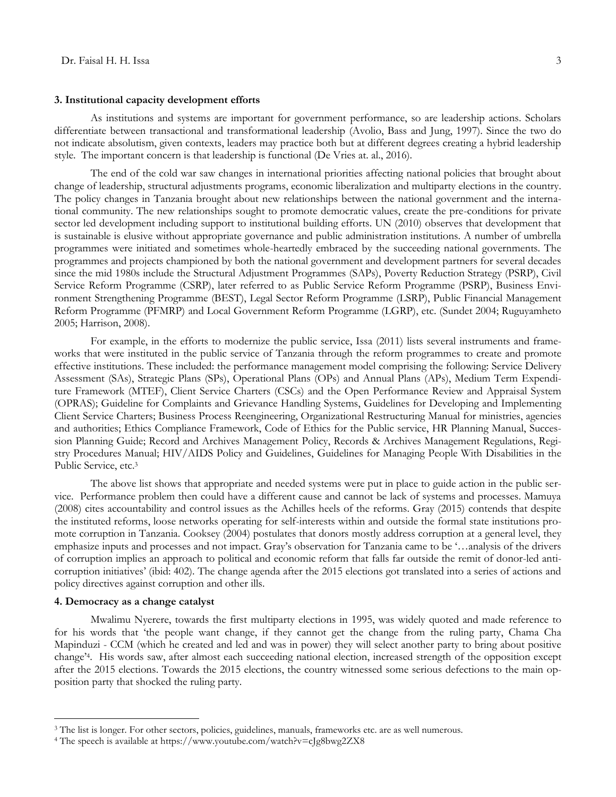#### **3. Institutional capacity development efforts**

As institutions and systems are important for government performance, so are leadership actions. Scholars differentiate between transactional and transformational leadership (Avolio, Bass and Jung, 1997). Since the two do not indicate absolutism, given contexts, leaders may practice both but at different degrees creating a hybrid leadership style. The important concern is that leadership is functional (De Vries at. al., 2016).

The end of the cold war saw changes in international priorities affecting national policies that brought about change of leadership, structural adjustments programs, economic liberalization and multiparty elections in the country. The policy changes in Tanzania brought about new relationships between the national government and the international community. The new relationships sought to promote democratic values, create the pre-conditions for private sector led development including support to institutional building efforts. UN (2010) observes that development that is sustainable is elusive without appropriate governance and public administration institutions. A number of umbrella programmes were initiated and sometimes whole-heartedly embraced by the succeeding national governments. The programmes and projects championed by both the national government and development partners for several decades since the mid 1980s include the Structural Adjustment Programmes (SAPs), Poverty Reduction Strategy (PSRP), Civil Service Reform Programme (CSRP), later referred to as Public Service Reform Programme (PSRP), Business Environment Strengthening Programme (BEST), Legal Sector Reform Programme (LSRP), Public Financial Management Reform Programme (PFMRP) and Local Government Reform Programme (LGRP), etc. (Sundet 2004; Ruguyamheto 2005; Harrison, 2008).

For example, in the efforts to modernize the public service, Issa (2011) lists several instruments and frameworks that were instituted in the public service of Tanzania through the reform programmes to create and promote effective institutions. These included: the performance management model comprising the following: Service Delivery Assessment (SAs), Strategic Plans (SPs), Operational Plans (OPs) and Annual Plans (APs), Medium Term Expenditure Framework (MTEF), Client Service Charters (CSCs) and the Open Performance Review and Appraisal System (OPRAS); Guideline for Complaints and Grievance Handling Systems, Guidelines for Developing and Implementing Client Service Charters; Business Process Reengineering, Organizational Restructuring Manual for ministries, agencies and authorities; Ethics Compliance Framework, Code of Ethics for the Public service, HR Planning Manual, Succession Planning Guide; Record and Archives Management Policy, Records & Archives Management Regulations, Registry Procedures Manual; HIV/AIDS Policy and Guidelines, Guidelines for Managing People With Disabilities in the Public Service, etc. 3

The above list shows that appropriate and needed systems were put in place to guide action in the public service. Performance problem then could have a different cause and cannot be lack of systems and processes. Mamuya (2008) cites accountability and control issues as the Achilles heels of the reforms. Gray (2015) contends that despite the instituted reforms, loose networks operating for self-interests within and outside the formal state institutions promote corruption in Tanzania. Cooksey (2004) postulates that donors mostly address corruption at a general level, they emphasize inputs and processes and not impact. Gray's observation for Tanzania came to be '...analysis of the drivers of corruption implies an approach to political and economic reform that falls far outside the remit of donor-led anticorruption initiatives" (ibid: 402). The change agenda after the 2015 elections got translated into a series of actions and policy directives against corruption and other ills.

### **4. Democracy as a change catalyst**

 $\overline{a}$ 

Mwalimu Nyerere, towards the first multiparty elections in 1995, was widely quoted and made reference to for his words that "the people want change, if they cannot get the change from the ruling party, Chama Cha Mapinduzi - CCM (which he created and led and was in power) they will select another party to bring about positive change"<sup>4</sup> . His words saw, after almost each succeeding national election, increased strength of the opposition except after the 2015 elections. Towards the 2015 elections, the country witnessed some serious defections to the main opposition party that shocked the ruling party.

<sup>3</sup> The list is longer. For other sectors, policies, guidelines, manuals, frameworks etc. are as well numerous.

<sup>4</sup> The speech is available at https://www.youtube.com/watch?v=cJg8bwg2ZX8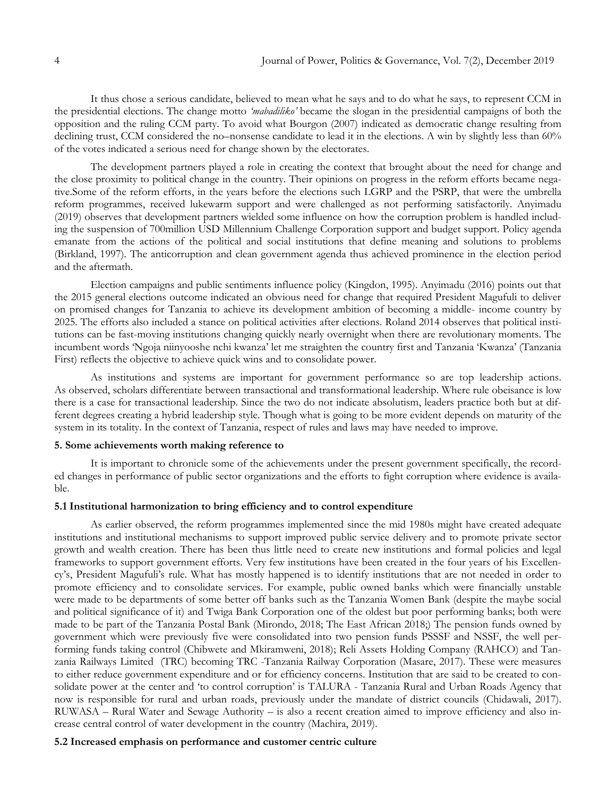It thus chose a serious candidate, believed to mean what he says and to do what he says, to represent CCM in the presidential elections. The change motto *'mabadiliko'* became the slogan in the presidential campaigns of both the opposition and the ruling CCM party. To avoid what Bourgon (2007) indicated as democratic change resulting from declining trust, CCM considered the no–nonsense candidate to lead it in the elections. A win by slightly less than 60% of the votes indicated a serious need for change shown by the electorates.

The development partners played a role in creating the context that brought about the need for change and the close proximity to political change in the country. Their opinions on progress in the reform efforts became negative.Some of the reform efforts, in the years before the elections such LGRP and the PSRP, that were the umbrella reform programmes, received lukewarm support and were challenged as not performing satisfactorily. Anyimadu (2019) observes that development partners wielded some influence on how the corruption problem is handled including the suspension of 700million USD Millennium Challenge Corporation support and budget support. Policy agenda emanate from the actions of the political and social institutions that define meaning and solutions to problems (Birkland, 1997). The anticorruption and clean government agenda thus achieved prominence in the election period and the aftermath.

Election campaigns and public sentiments influence policy (Kingdon, 1995). Anyimadu (2016) points out that the 2015 general elections outcome indicated an obvious need for change that required President Magufuli to deliver on promised changes for Tanzania to achieve its development ambition of becoming a middle- income country by 2025. The efforts also included a stance on political activities after elections. Roland 2014 observes that political institutions can be fast-moving institutions changing quickly nearly overnight when there are revolutionary moments. The incumbent words "Ngoja niinyooshe nchi kwanza" let me straighten the country first and Tanzania "Kwanza" (Tanzania First) reflects the objective to achieve quick wins and to consolidate power.

As institutions and systems are important for government performance so are top leadership actions. As observed, scholars differentiate between transactional and transformational leadership. Where rule obeisance is low there is a case for transactional leadership. Since the two do not indicate absolutism, leaders practice both but at different degrees creating a hybrid leadership style. Though what is going to be more evident depends on maturity of the system in its totality. In the context of Tanzania, respect of rules and laws may have needed to improve.

### **5. Some achievements worth making reference to**

It is important to chronicle some of the achievements under the present government specifically, the recorded changes in performance of public sector organizations and the efforts to fight corruption where evidence is available.

#### **5.1 Institutional harmonization to bring efficiency and to control expenditure**

As earlier observed, the reform programmes implemented since the mid 1980s might have created adequate institutions and institutional mechanisms to support improved public service delivery and to promote private sector growth and wealth creation. There has been thus little need to create new institutions and formal policies and legal frameworks to support government efforts. Very few institutions have been created in the four years of his Excellency"s, President Magufuli"s rule. What has mostly happened is to identify institutions that are not needed in order to promote efficiency and to consolidate services. For example, public owned banks which were financially unstable were made to be departments of some better off banks such as the Tanzania Women Bank (despite the maybe social and political significance of it) and Twiga Bank Corporation one of the oldest but poor performing banks; both were made to be part of the Tanzania Postal Bank (Mirondo, 2018; The East African 2018;) The pension funds owned by government which were previously five were consolidated into two pension funds PSSSF and NSSF, the well performing funds taking control (Chibwete and Mkiramweni, 2018); Reli Assets Holding Company (RAHCO) and Tanzania Railways Limited (TRC) becoming TRC -Tanzania Railway Corporation (Masare, 2017). These were measures to either reduce government expenditure and or for efficiency concerns. Institution that are said to be created to consolidate power at the center and "to control corruption" is TALURA - Tanzania Rural and Urban Roads Agency that now is responsible for rural and urban roads, previously under the mandate of district councils (Chidawali, 2017). RUWASA – Rural Water and Sewage Authority – is also a recent creation aimed to improve efficiency and also increase central control of water development in the country (Machira, 2019).

### **5.2 Increased emphasis on performance and customer centric culture**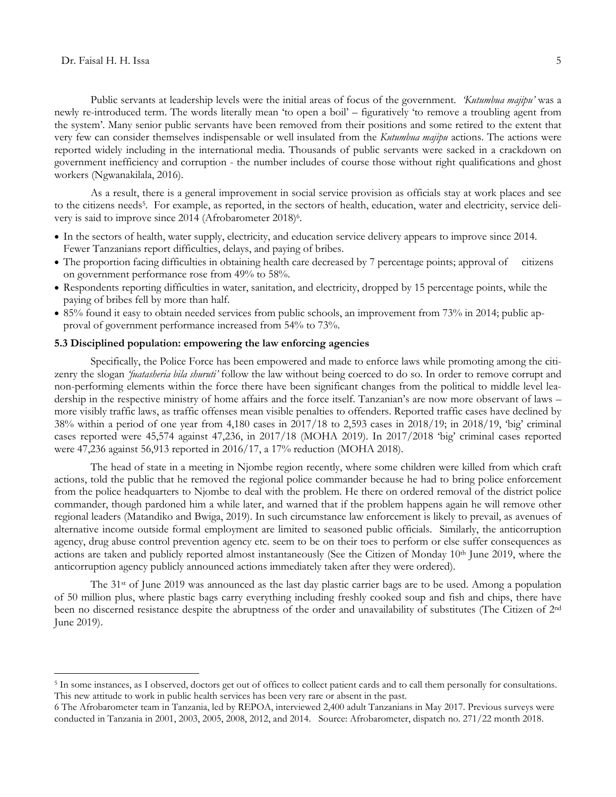$\overline{a}$ 

Public servants at leadership levels were the initial areas of focus of the government. *'Kutumbua majipu'* was a newly re-introduced term. The words literally mean "to open a boil" – figuratively "to remove a troubling agent from the system". Many senior public servants have been removed from their positions and some retired to the extent that very few can consider themselves indispensable or well insulated from the *Kutumbua majipu* actions. The actions were reported widely including in the international media. Thousands of public servants were sacked in a crackdown on government inefficiency and corruption - the number includes of course those without right qualifications and ghost workers (Ngwanakilala, 2016).

As a result, there is a general improvement in social service provision as officials stay at work places and see to the citizens needs<sup>5</sup>. For example, as reported, in the sectors of health, education, water and electricity, service delivery is said to improve since 2014 (Afrobarometer 2018)<sup>6</sup>.

- In the sectors of health, water supply, electricity, and education service delivery appears to improve since 2014. Fewer Tanzanians report difficulties, delays, and paying of bribes.
- The proportion facing difficulties in obtaining health care decreased by 7 percentage points; approval of citizens on government performance rose from 49% to 58%.
- Respondents reporting difficulties in water, sanitation, and electricity, dropped by 15 percentage points, while the paying of bribes fell by more than half.
- 85% found it easy to obtain needed services from public schools, an improvement from 73% in 2014; public approval of government performance increased from 54% to 73%.

# **5.3 Disciplined population: empowering the law enforcing agencies**

Specifically, the Police Force has been empowered and made to enforce laws while promoting among the citizenry the slogan *'fuatasheria bila shuruti'* follow the law without being coerced to do so. In order to remove corrupt and non-performing elements within the force there have been significant changes from the political to middle level leadership in the respective ministry of home affairs and the force itself. Tanzanian's are now more observant of laws – more visibly traffic laws, as traffic offenses mean visible penalties to offenders. Reported traffic cases have declined by 38% within a period of one year from 4,180 cases in 2017/18 to 2,593 cases in 2018/19; in 2018/19, "big" criminal cases reported were 45,574 against 47,236, in 2017/18 (MOHA 2019). In 2017/2018 "big" criminal cases reported were 47,236 against 56,913 reported in 2016/17, a 17% reduction (MOHA 2018).

The head of state in a meeting in Njombe region recently, where some children were killed from which craft actions, told the public that he removed the regional police commander because he had to bring police enforcement from the police headquarters to Njombe to deal with the problem. He there on ordered removal of the district police commander, though pardoned him a while later, and warned that if the problem happens again he will remove other regional leaders (Matandiko and Bwiga, 2019). In such circumstance law enforcement is likely to prevail, as avenues of alternative income outside formal employment are limited to seasoned public officials. Similarly, the anticorruption agency, drug abuse control prevention agency etc. seem to be on their toes to perform or else suffer consequences as actions are taken and publicly reported almost instantaneously (See the Citizen of Monday 10<sup>th</sup> June 2019, where the anticorruption agency publicly announced actions immediately taken after they were ordered).

The 31<sup>st</sup> of June 2019 was announced as the last day plastic carrier bags are to be used. Among a population of 50 million plus, where plastic bags carry everything including freshly cooked soup and fish and chips, there have been no discerned resistance despite the abruptness of the order and unavailability of substitutes (The Citizen of 2nd June 2019).

<sup>5</sup> In some instances, as I observed, doctors get out of offices to collect patient cards and to call them personally for consultations. This new attitude to work in public health services has been very rare or absent in the past.

<sup>6</sup> The Afrobarometer team in Tanzania, led by REPOA, interviewed 2,400 adult Tanzanians in May 2017. Previous surveys were conducted in Tanzania in 2001, 2003, 2005, 2008, 2012, and 2014. Source: Afrobarometer, dispatch no. 271/22 month 2018.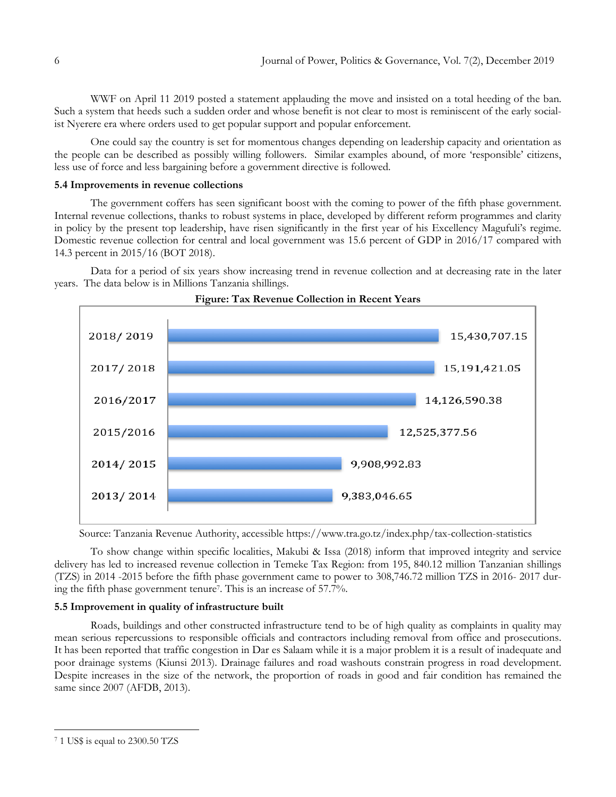WWF on April 11 2019 posted a statement applauding the move and insisted on a total heeding of the ban. Such a system that heeds such a sudden order and whose benefit is not clear to most is reminiscent of the early socialist Nyerere era where orders used to get popular support and popular enforcement.

One could say the country is set for momentous changes depending on leadership capacity and orientation as the people can be described as possibly willing followers. Similar examples abound, of more "responsible" citizens, less use of force and less bargaining before a government directive is followed.

### **5.4 Improvements in revenue collections**

The government coffers has seen significant boost with the coming to power of the fifth phase government. Internal revenue collections, thanks to robust systems in place, developed by different reform programmes and clarity in policy by the present top leadership, have risen significantly in the first year of his Excellency Magufuli"s regime. Domestic revenue collection for central and local government was 15.6 percent of GDP in 2016/17 compared with 14.3 percent in 2015/16 (BOT 2018).

Data for a period of six years show increasing trend in revenue collection and at decreasing rate in the later years. The data below is in Millions Tanzania shillings.





Source: Tanzania Revenue Authority, accessible https://www.tra.go.tz/index.php/tax-collection-statistics

To show change within specific localities, Makubi & Issa (2018) inform that improved integrity and service delivery has led to increased revenue collection in Temeke Tax Region: from 195, 840.12 million Tanzanian shillings (TZS) in 2014 -2015 before the fifth phase government came to power to 308,746.72 million TZS in 2016- 2017 during the fifth phase government tenure<sup>7</sup> . This is an increase of 57.7%.

### **5.5 Improvement in quality of infrastructure built**

Roads, buildings and other constructed infrastructure tend to be of high quality as complaints in quality may mean serious repercussions to responsible officials and contractors including removal from office and prosecutions. It has been reported that traffic congestion in Dar es Salaam while it is a major problem it is a result of inadequate and poor drainage systems (Kiunsi 2013). Drainage failures and road washouts constrain progress in road development. Despite increases in the size of the network, the proportion of roads in good and fair condition has remained the same since 2007 (AFDB, 2013).

 $\overline{a}$ 

<sup>7</sup> 1 US\$ is equal to 2300.50 TZS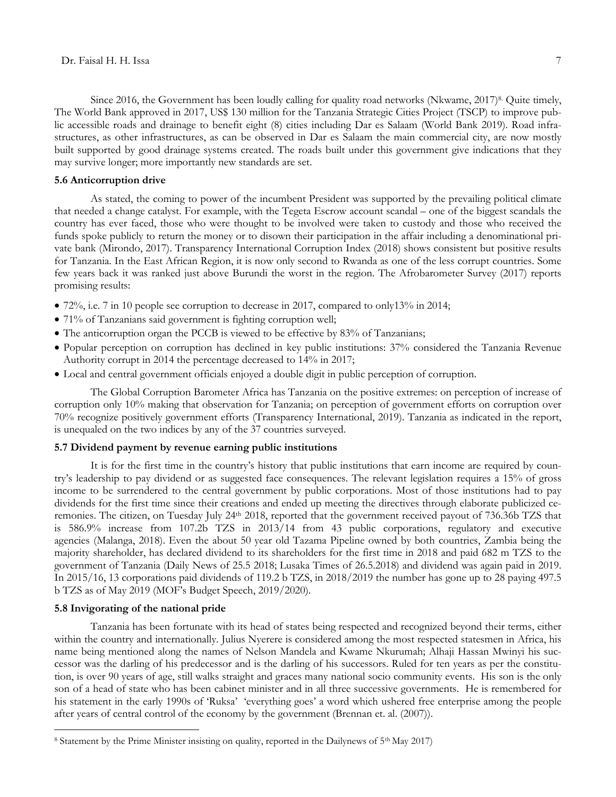Since 2016, the Government has been loudly calling for quality road networks (Nkwame, 2017)<sup>8.</sup> Quite timely, The World Bank approved in 2017, US\$ 130 million for the Tanzania Strategic Cities Project (TSCP) to improve public accessible roads and drainage to benefit eight (8) cities including Dar es Salaam (World Bank 2019). Road infrastructures, as other infrastructures, as can be observed in Dar es Salaam the main commercial city, are now mostly built supported by good drainage systems created. The roads built under this government give indications that they may survive longer; more importantly new standards are set.

### **5.6 Anticorruption drive**

As stated, the coming to power of the incumbent President was supported by the prevailing political climate that needed a change catalyst. For example, with the Tegeta Escrow account scandal – one of the biggest scandals the country has ever faced, those who were thought to be involved were taken to custody and those who received the funds spoke publicly to return the money or to disown their participation in the affair including a denominational private bank (Mirondo, 2017). Transparency International Corruption Index (2018) shows consistent but positive results for Tanzania. In the East African Region, it is now only second to Rwanda as one of the less corrupt countries. Some few years back it was ranked just above Burundi the worst in the region. The Afrobarometer Survey (2017) reports promising results:

- 72%, i.e. 7 in 10 people see corruption to decrease in 2017, compared to only 13% in 2014;
- 71% of Tanzanians said government is fighting corruption well;
- The anticorruption organ the PCCB is viewed to be effective by 83% of Tanzanians;
- Popular perception on corruption has declined in key public institutions: 37% considered the Tanzania Revenue Authority corrupt in 2014 the percentage decreased to 14% in 2017;
- Local and central government officials enjoyed a double digit in public perception of corruption.

The Global Corruption Barometer Africa has Tanzania on the positive extremes: on perception of increase of corruption only 10% making that observation for Tanzania; on perception of government efforts on corruption over 70% recognize positively government efforts (Transparency International, 2019). Tanzania as indicated in the report, is unequaled on the two indices by any of the 37 countries surveyed.

# **5.7 Dividend payment by revenue earning public institutions**

It is for the first time in the country"s history that public institutions that earn income are required by country"s leadership to pay dividend or as suggested face consequences. The relevant legislation requires a 15% of gross income to be surrendered to the central government by public corporations. Most of those institutions had to pay dividends for the first time since their creations and ended up meeting the directives through elaborate publicized ceremonies. The citizen, on Tuesday July 24th 2018, reported that the government received payout of 736.36b TZS that is 586.9% increase from 107.2b TZS in 2013/14 from 43 public corporations, regulatory and executive agencies (Malanga, 2018). Even the about 50 year old Tazama Pipeline owned by both countries, Zambia being the majority shareholder, has declared dividend to its shareholders for the first time in 2018 and paid 682 m TZS to the government of Tanzania (Daily News of 25.5 2018; Lusaka Times of 26.5.2018) and dividend was again paid in 2019. In 2015/16, 13 corporations paid dividends of 119.2 b TZS, in 2018/2019 the number has gone up to 28 paying 497.5 b TZS as of May 2019 (MOF"s Budget Speech, 2019/2020).

# **5.8 Invigorating of the national pride**

 $\overline{a}$ 

Tanzania has been fortunate with its head of states being respected and recognized beyond their terms, either within the country and internationally. Julius Nyerere is considered among the most respected statesmen in Africa, his name being mentioned along the names of Nelson Mandela and Kwame Nkurumah; Alhaji Hassan Mwinyi his successor was the darling of his predecessor and is the darling of his successors. Ruled for ten years as per the constitution, is over 90 years of age, still walks straight and graces many national socio community events. His son is the only son of a head of state who has been cabinet minister and in all three successive governments. He is remembered for his statement in the early 1990s of 'Ruksa' 'everything goes' a word which ushered free enterprise among the people after years of central control of the economy by the government (Brennan et. al. (2007)).

<sup>&</sup>lt;sup>8</sup> Statement by the Prime Minister insisting on quality, reported in the Dailynews of 5<sup>th</sup> May 2017)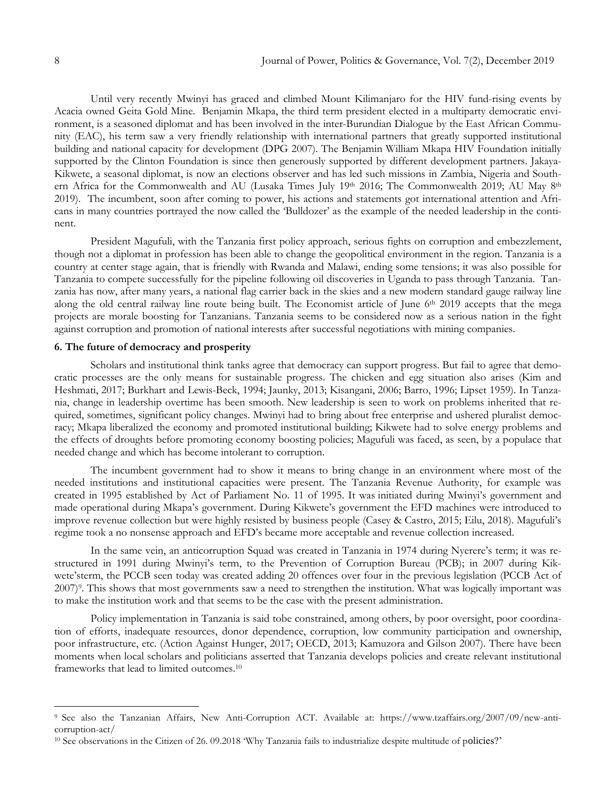Until very recently Mwinyi has graced and climbed Mount Kilimanjaro for the HIV fund-rising events by Acacia owned Geita Gold Mine. Benjamin Mkapa, the third term president elected in a multiparty democratic environment, is a seasoned diplomat and has been involved in the inter-Burundian Dialogue by the East African Community (EAC), his term saw a very friendly relationship with international partners that greatly supported institutional building and national capacity for development (DPG 2007). The Benjamin William Mkapa HIV Foundation initially supported by the Clinton Foundation is since then generously supported by different development partners. Jakaya-Kikwete, a seasonal diplomat, is now an elections observer and has led such missions in Zambia, Nigeria and Southern Africa for the Commonwealth and AU (Lusaka Times July 19th 2016; The Commonwealth 2019; AU May 8th 2019). The incumbent, soon after coming to power, his actions and statements got international attention and Africans in many countries portrayed the now called the "Bulldozer" as the example of the needed leadership in the continent.

President Magufuli, with the Tanzania first policy approach, serious fights on corruption and embezzlement, though not a diplomat in profession has been able to change the geopolitical environment in the region. Tanzania is a country at center stage again, that is friendly with Rwanda and Malawi, ending some tensions; it was also possible for Tanzania to compete successfully for the pipeline following oil discoveries in Uganda to pass through Tanzania. Tanzania has now, after many years, a national flag carrier back in the skies and a new modern standard gauge railway line along the old central railway line route being built. The Economist article of June 6<sup>th</sup> 2019 accepts that the mega projects are morale boosting for Tanzanians. Tanzania seems to be considered now as a serious nation in the fight against corruption and promotion of national interests after successful negotiations with mining companies.

### **6. The future of democracy and prosperity**

Scholars and institutional think tanks agree that democracy can support progress. But fail to agree that democratic processes are the only means for sustainable progress. The chicken and egg situation also arises (Kim and Heshmati, 2017; Burkhart and Lewis-Beck, 1994; Jaunky, 2013; Kisangani, 2006; Barro, 1996; Lipset 1959). In Tanzania, change in leadership overtime has been smooth. New leadership is seen to work on problems inherited that required, sometimes, significant policy changes. Mwinyi had to bring about free enterprise and ushered pluralist democracy; Mkapa liberalized the economy and promoted institutional building; Kikwete had to solve energy problems and the effects of droughts before promoting economy boosting policies; Magufuli was faced, as seen, by a populace that needed change and which has become intolerant to corruption.

The incumbent government had to show it means to bring change in an environment where most of the needed institutions and institutional capacities were present. The Tanzania Revenue Authority, for example was created in 1995 established by Act of Parliament No. 11 of 1995. It was initiated during Mwinyi"s government and made operational during Mkapa's government. During Kikwete's government the EFD machines were introduced to improve revenue collection but were highly resisted by business people (Casey & Castro, 2015; Eilu, 2018). Magufuli's regime took a no nonsense approach and EFD"s became more acceptable and revenue collection increased.

In the same vein, an anticorruption Squad was created in Tanzania in 1974 during Nyerere's term; it was restructured in 1991 during Mwinyi's term, to the Prevention of Corruption Bureau (PCB); in 2007 during Kikwete'sterm, the PCCB seen today was created adding 20 offences over four in the previous legislation (PCCB Act of 2007)<sup>9</sup>. This shows that most governments saw a need to strengthen the institution. What was logically important was to make the institution work and that seems to be the case with the present administration.

Policy implementation in Tanzania is said tobe constrained, among others, by poor oversight, poor coordination of efforts, inadequate resources, donor dependence, corruption, low community participation and ownership, poor infrastructure, etc. (Action Against Hunger, 2017; OECD, 2013; Kamuzora and Gilson 2007). There have been moments when local scholars and politicians asserted that Tanzania develops policies and create relevant institutional frameworks that lead to limited outcomes.<sup>10</sup>

 $\overline{a}$ 

<sup>9</sup> See also the Tanzanian Affairs, New Anti-Corruption ACT. Available at: https://www.tzaffairs.org/2007/09/new-anticorruption-act/

<sup>&</sup>lt;sup>10</sup> See observations in the Citizen of 26. 09.2018 'Why Tanzania fails to industrialize despite multitude of policies?'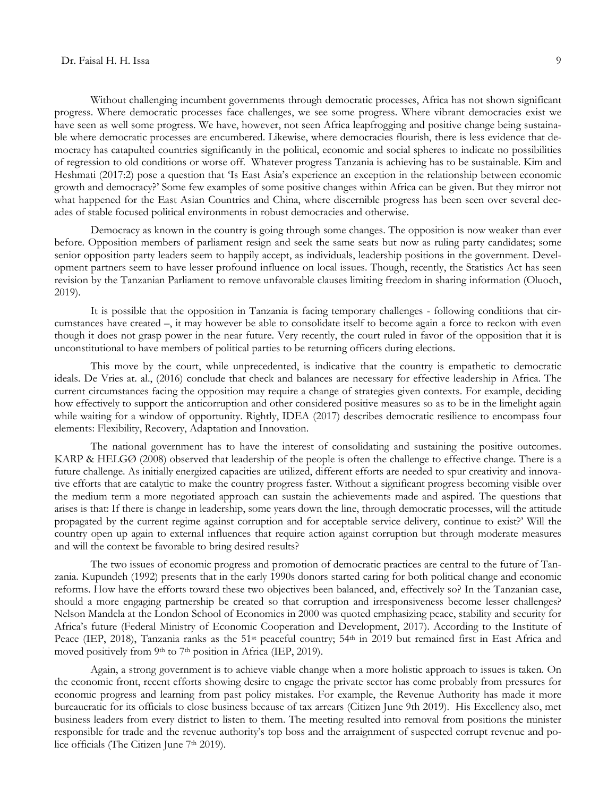Without challenging incumbent governments through democratic processes, Africa has not shown significant progress. Where democratic processes face challenges, we see some progress. Where vibrant democracies exist we have seen as well some progress. We have, however, not seen Africa leapfrogging and positive change being sustainable where democratic processes are encumbered. Likewise, where democracies flourish, there is less evidence that democracy has catapulted countries significantly in the political, economic and social spheres to indicate no possibilities of regression to old conditions or worse off. Whatever progress Tanzania is achieving has to be sustainable. Kim and Heshmati (2017:2) pose a question that "Is East Asia"s experience an exception in the relationship between economic growth and democracy?" Some few examples of some positive changes within Africa can be given. But they mirror not what happened for the East Asian Countries and China, where discernible progress has been seen over several decades of stable focused political environments in robust democracies and otherwise.

Democracy as known in the country is going through some changes. The opposition is now weaker than ever before. Opposition members of parliament resign and seek the same seats but now as ruling party candidates; some senior opposition party leaders seem to happily accept, as individuals, leadership positions in the government. Development partners seem to have lesser profound influence on local issues. Though, recently, the Statistics Act has seen revision by the Tanzanian Parliament to remove unfavorable clauses limiting freedom in sharing information (Oluoch, 2019).

It is possible that the opposition in Tanzania is facing temporary challenges - following conditions that circumstances have created –, it may however be able to consolidate itself to become again a force to reckon with even though it does not grasp power in the near future. Very recently, the court ruled in favor of the opposition that it is unconstitutional to have members of political parties to be returning officers during elections.

This move by the court, while unprecedented, is indicative that the country is empathetic to democratic ideals. De Vries at. al., (2016) conclude that check and balances are necessary for effective leadership in Africa. The current circumstances facing the opposition may require a change of strategies given contexts. For example, deciding how effectively to support the anticorruption and other considered positive measures so as to be in the limelight again while waiting for a window of opportunity. Rightly, IDEA (2017) describes democratic resilience to encompass four elements: Flexibility, Recovery, Adaptation and Innovation.

The national government has to have the interest of consolidating and sustaining the positive outcomes. KARP & HELGØ (2008) observed that leadership of the people is often the challenge to effective change. There is a future challenge. As initially energized capacities are utilized, different efforts are needed to spur creativity and innovative efforts that are catalytic to make the country progress faster. Without a significant progress becoming visible over the medium term a more negotiated approach can sustain the achievements made and aspired. The questions that arises is that: If there is change in leadership, some years down the line, through democratic processes, will the attitude propagated by the current regime against corruption and for acceptable service delivery, continue to exist?" Will the country open up again to external influences that require action against corruption but through moderate measures and will the context be favorable to bring desired results?

The two issues of economic progress and promotion of democratic practices are central to the future of Tanzania. Kupundeh (1992) presents that in the early 1990s donors started caring for both political change and economic reforms. How have the efforts toward these two objectives been balanced, and, effectively so? In the Tanzanian case, should a more engaging partnership be created so that corruption and irresponsiveness become lesser challenges? Nelson Mandela at the London School of Economics in 2000 was quoted emphasizing peace, stability and security for Africa"s future (Federal Ministry of Economic Cooperation and Development, 2017). According to the Institute of Peace (IEP, 2018), Tanzania ranks as the 51<sup>st</sup> peaceful country; 54<sup>th</sup> in 2019 but remained first in East Africa and moved positively from 9<sup>th</sup> to 7<sup>th</sup> position in Africa (IEP, 2019).

Again, a strong government is to achieve viable change when a more holistic approach to issues is taken. On the economic front, recent efforts showing desire to engage the private sector has come probably from pressures for economic progress and learning from past policy mistakes. For example, the Revenue Authority has made it more bureaucratic for its officials to close business because of tax arrears (Citizen June 9th 2019). His Excellency also, met business leaders from every district to listen to them. The meeting resulted into removal from positions the minister responsible for trade and the revenue authority"s top boss and the arraignment of suspected corrupt revenue and police officials (The Citizen June 7<sup>th</sup> 2019).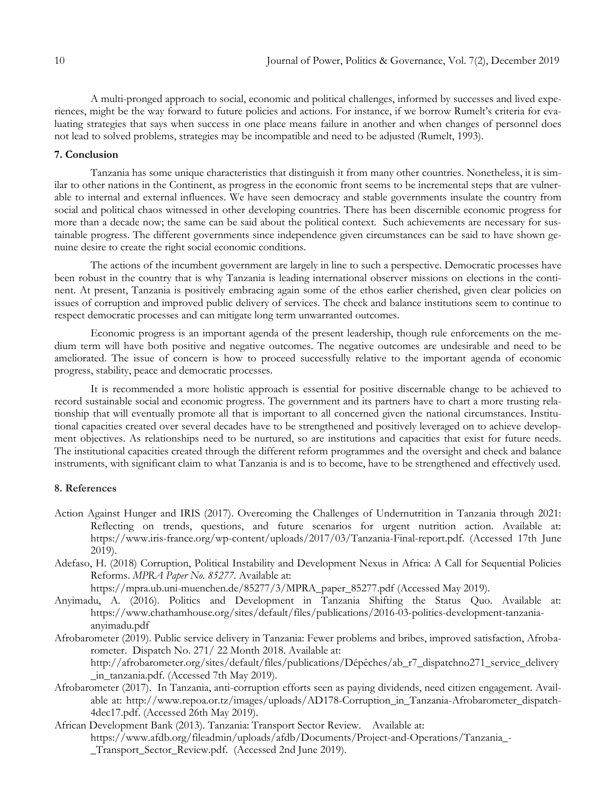A multi-pronged approach to social, economic and political challenges, informed by successes and lived experiences, might be the way forward to future policies and actions. For instance, if we borrow Rumelt"s criteria for evaluating strategies that says when success in one place means failure in another and when changes of personnel does not lead to solved problems, strategies may be incompatible and need to be adjusted (Rumelt, 1993).

# **7. Conclusion**

Tanzania has some unique characteristics that distinguish it from many other countries. Nonetheless, it is similar to other nations in the Continent, as progress in the economic front seems to be incremental steps that are vulnerable to internal and external influences. We have seen democracy and stable governments insulate the country from social and political chaos witnessed in other developing countries. There has been discernible economic progress for more than a decade now; the same can be said about the political context. Such achievements are necessary for sustainable progress. The different governments since independence given circumstances can be said to have shown genuine desire to create the right social economic conditions.

The actions of the incumbent government are largely in line to such a perspective. Democratic processes have been robust in the country that is why Tanzania is leading international observer missions on elections in the continent. At present, Tanzania is positively embracing again some of the ethos earlier cherished, given clear policies on issues of corruption and improved public delivery of services. The check and balance institutions seem to continue to respect democratic processes and can mitigate long term unwarranted outcomes.

Economic progress is an important agenda of the present leadership, though rule enforcements on the medium term will have both positive and negative outcomes. The negative outcomes are undesirable and need to be ameliorated. The issue of concern is how to proceed successfully relative to the important agenda of economic progress, stability, peace and democratic processes.

It is recommended a more holistic approach is essential for positive discernable change to be achieved to record sustainable social and economic progress. The government and its partners have to chart a more trusting relationship that will eventually promote all that is important to all concerned given the national circumstances. Institutional capacities created over several decades have to be strengthened and positively leveraged on to achieve development objectives. As relationships need to be nurtured, so are institutions and capacities that exist for future needs. The institutional capacities created through the different reform programmes and the oversight and check and balance instruments, with significant claim to what Tanzania is and is to become, have to be strengthened and effectively used.

### **8. References**

- Action Against Hunger and IRIS (2017). Overcoming the Challenges of Undernutrition in Tanzania through 2021: Reflecting on trends, questions, and future scenarios for urgent nutrition action. Available at: [https://www.iris-france.org/wp-content/uploads/2017/03/Tanzania-Final-report.pdf.](https://www.iris-france.org/wp-content/uploads/2017/03/Tanzania-Final-report.pdf) (Accessed 17th June 2019).
- Adefaso, H. (2018) Corruption, Political Instability and Development Nexus in Africa: A Call for Sequential Policies Reforms. *MPRA Paper No. 85277*. Available at:

https://mpra.ub.uni-muenchen.de/85277/3/MPRA\_paper\_85277.pdf (Accessed May 2019).

- Anyimadu, A. (2016). Politics and Development in Tanzania Shifting the Status Quo. Available at: [https://www.chathamhouse.org/sites/default/files/publications/2016-03-politics-development-tanzania](https://www.chathamhouse.org/sites/default/files/publications/2016-03-politics-development-tanzania-anyimadu.pdf)[anyimadu.pdf](https://www.chathamhouse.org/sites/default/files/publications/2016-03-politics-development-tanzania-anyimadu.pdf)
- Afrobarometer (2019). Public service delivery in Tanzania: Fewer problems and bribes, improved satisfaction, Afrobarometer. Dispatch No. 271/ 22 Month 2018. Available at: [http://afrobarometer.org/sites/default/files/publications/Dépêches/ab\\_r7\\_dispatchno271\\_service\\_delivery](http://afrobarometer.org/sites/default/files/publications/D�p�ches/ab_r7_dispatchno271_service_delivery_in_tanzania.pdf)
	- [\\_in\\_tanzania.pdf.](http://afrobarometer.org/sites/default/files/publications/D�p�ches/ab_r7_dispatchno271_service_delivery_in_tanzania.pdf) (Accessed 7th May 2019).
- Afrobarometer (2017). In Tanzania, anti-corruption efforts seen as paying dividends, need citizen engagement. Available at: [http://www.repoa.or.tz/images/uploads/AD178-Corruption\\_in\\_Tanzania-Afrobarometer\\_dispatch-](http://www.repoa.or.tz/images/uploads/AD178-Corruption_in_Tanzania-Afrobarometer_dispatch-4dec17.pdf)[4dec17.pdf.](http://www.repoa.or.tz/images/uploads/AD178-Corruption_in_Tanzania-Afrobarometer_dispatch-4dec17.pdf) (Accessed 26th May 2019).
- African Development Bank (2013). Tanzania: Transport Sector Review. Available at: [https://www.afdb.org/fileadmin/uploads/afdb/Documents/Project-and-Operations/Tanzania\\_-](https://www.afdb.org/fileadmin/uploads/afdb/Documents/Project-and-Operations/Tanzania_-_Transport_Sector_Review.pdf) [\\_Transport\\_Sector\\_Review.pdf.](https://www.afdb.org/fileadmin/uploads/afdb/Documents/Project-and-Operations/Tanzania_-_Transport_Sector_Review.pdf) (Accessed 2nd June 2019).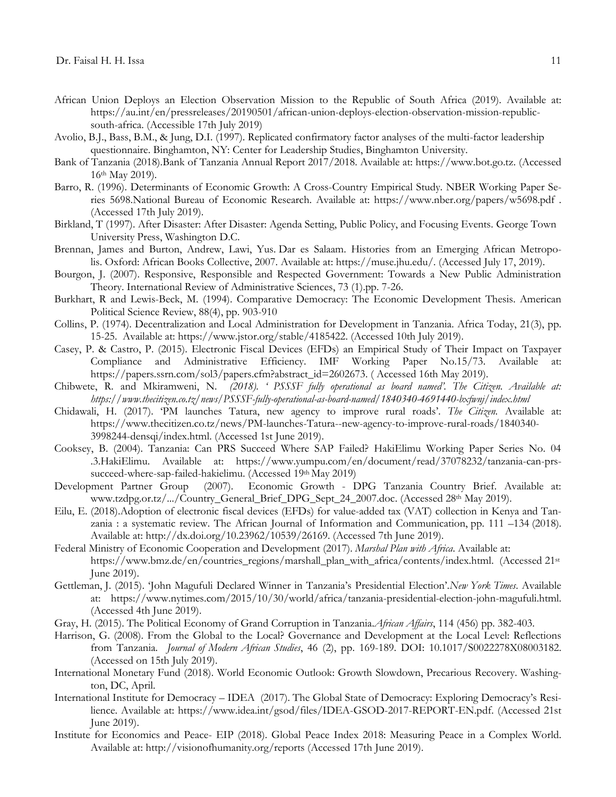- African Union Deploys an Election Observation Mission to the Republic of South Africa (2019). Available at: [https://au.int/en/pressreleases/20190501/african-union-deploys-election-observation-mission-republic](https://au.int/en/pressreleases/20190501/african-union-deploys-election-observation-mission-republic-south-africa)[south-africa.](https://au.int/en/pressreleases/20190501/african-union-deploys-election-observation-mission-republic-south-africa) (Accessible 17th July 2019)
- Avolio, B.J., Bass, B.M., & Jung, D.I. (1997). Replicated confirmatory factor analyses of the multi-factor leadership questionnaire. Binghamton, NY: Center for Leadership Studies, Binghamton University.
- Bank of Tanzania (2018).Bank of Tanzania Annual Report 2017/2018. Available at: [https://www.bot.go.tz.](https://www.bot.go.tz/) (Accessed 16th May 2019).
- Barro, R. (1996). Determinants of Economic Growth: A Cross-Country Empirical Study. NBER Working Paper Series 5698.National Bureau of Economic Research. Available at: <https://www.nber.org/papers/w5698.pdf> . (Accessed 17th July 2019).
- Birkland, T (1997). After Disaster: After Disaster: Agenda Setting, Public Policy, and Focusing Events. George Town University Press, Washington D.C.
- Brennan, James and Burton, Andrew, Lawi, Yus. Dar es Salaam. Histories from an Emerging African Metropolis. Oxford: African Books Collective, 2007. Available at: https://muse.jhu.edu/. (Accessed July 17, 2019).
- Bourgon, J. (2007). Responsive, Responsible and Respected Government: Towards a New Public Administration Theory. International Review of Administrative Sciences, 73 (1).pp. 7-26.
- Burkhart, R and Lewis-Beck, M. (1994). Comparative Democracy: The Economic Development Thesis. American Political Science Review, 88(4), pp. 903-910
- Collins, P. (1974). Decentralization and Local Administration for Development in Tanzania. Africa Today, 21(3), pp. 15-25. Available at: [https://www.jstor.org/stable/4185422.](https://www.jstor.org/stable/4185422) (Accessed 10th July 2019).
- Casey, P. & Castro, P. (2015). Electronic Fiscal Devices (EFDs) an Empirical Study of Their Impact on Taxpayer Compliance and Administrative Efficiency. IMF Working Paper No.15/73. Available at: [https://papers.ssrn.com/sol3/papers.cfm?abstract\\_id=2602673.](https://papers.ssrn.com/sol3/papers.cfm?abstract_id=2602673) ( Accessed 16th May 2019).
- Chibwete, R. and Mkiramweni, N. *(2018). ' PSSSF fully operational as board named'. The Citizen. Available at: https://www.thecitizen.co.tz/news/PSSSF-fully-operational-as-board-named/1840340-4691440-bxfwnj/index.html*
- Chidawali, H. (2017). "PM launches Tatura, new agency to improve rural roads". *The Citizen.* Available at: [https://www.thecitizen.co.tz/news/PM-launches-Tatura--new-agency-to-improve-rural-roads/1840340-](https://www.thecitizen.co.tz/news/PM-launches-Tatura--new-agency-to-improve-rural-roads/1840340-3998244-densqi/index.html) [3998244-densqi/index.html.](https://www.thecitizen.co.tz/news/PM-launches-Tatura--new-agency-to-improve-rural-roads/1840340-3998244-densqi/index.html) (Accessed 1st June 2019).
- Cooksey, B. (2004). Tanzania: Can PRS Succeed Where SAP Failed? HakiElimu Working Paper Series No. 04 .3.HakiElimu. Available at: [https://www.yumpu.com/en/document/read/37078232/tanzania-can-prs](https://www.yumpu.com/en/document/read/37078232/tanzania-can-prs-succeed-where-sap-failed-hakielimu)[succeed-where-sap-failed-hakielimu.](https://www.yumpu.com/en/document/read/37078232/tanzania-can-prs-succeed-where-sap-failed-hakielimu) (Accessed 19th May 2019)
- Development Partner Group (2007). Economic Growth DPG Tanzania Country Brief. Available at: [www.tzdpg.or.tz/.../Country\\_General\\_Brief\\_DPG\\_Sept\\_24\\_2007.doc.](http://www.tzdpg.or.tz/.../Country_General_Brief_DPG_Sept_24_2007.doc) (Accessed 28th May 2019).
- Eilu, E. (2018).Adoption of electronic fiscal devices (EFDs) for [value-added](https://journals.co.za/content/journal/10520/EJC-129d835168) tax (VAT) collection in Kenya and Tanzania : a [systematic](https://journals.co.za/content/journal/10520/EJC-129d835168) review. The African Journal of Information and Communication, pp. 111 –134 (2018). Available at: [http://dx.doi.org/10.23962/10539/26169.](https://dx.doi.org/10.23962/10539/26169) (Accessed 7th June 2019).
- Federal Ministry of Economic Cooperation and Development (2017). *Marshal Plan with Africa*. Available at: [https://www.bmz.de/en/countries\\_regions/marshall\\_plan\\_with\\_africa/contents/index.html.](https://www.bmz.de/en/countries_regions/marshall_plan_with_africa/contents/index.html) (Accessed 21st June 2019).
- Gettleman, J. (2015). "John Magufuli Declared Winner in Tanzania"s Presidential Election".*New York Times*. Available at: [https://www.nytimes.com/2015/10/30/world/africa/tanzania-presidential-election-john-magufuli.html.](https://www.nytimes.com/2015/10/30/world/africa/tanzania-presidential-election-john-magufuli.html) (Accessed 4th June 2019).
- Gray, H. (2015). The Political Economy of Grand Corruption in Tanzania.*African Affairs*, 114 (456) pp. 382-403.
- Harrison, G. (2008). From the Global to the Local? Governance and Development at the Local Level: Reflections from Tanzania. *Journal of Modern African Studies*, 46 (2), pp. 169-189. DOI: 10.1017/S0022278X08003182. (Accessed on 15th July 2019).
- International Monetary Fund (2018). World Economic Outlook: Growth Slowdown, Precarious Recovery. Washington, DC, April.
- International Institute for Democracy IDEA (2017). The Global State of Democracy: Exploring Democracy"s Resilience. Available at: [https://www.idea.int/gsod/files/IDEA-GSOD-2017-REPORT-EN.pdf.](https://www.idea.int/gsod/files/IDEA-GSOD-2017-REPORT-EN.pdf) (Accessed 21st June 2019).
- Institute for Economics and Peace- EIP (2018). Global Peace Index 2018: Measuring Peace in a Complex World. Available at: http://visionofhumanity.org/reports (Accessed 17th June 2019).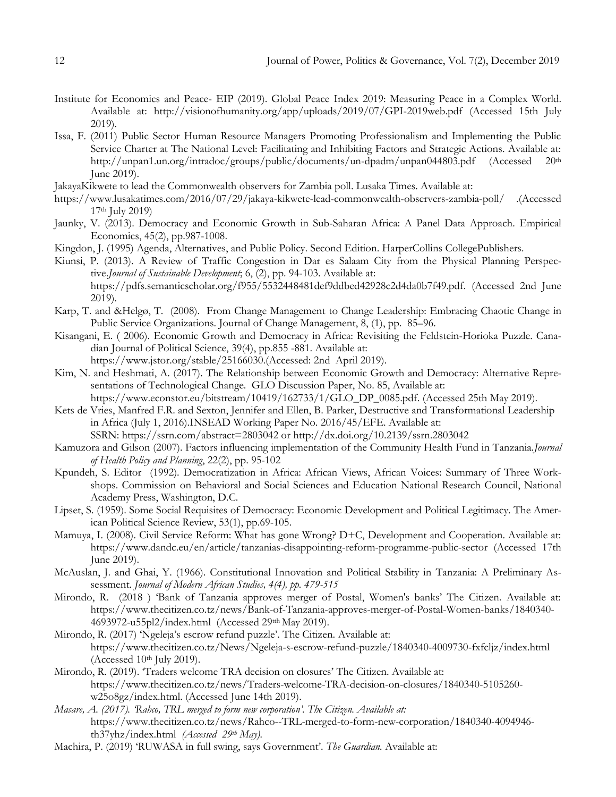- Institute for Economics and Peace- EIP (2019). Global Peace Index 2019: Measuring Peace in a Complex World. Available at: http://visionofhumanity.org/app/uploads/2019/07/GPI-2019web.pdf (Accessed 15th July 2019).
- Issa, F. (2011) Public Sector Human Resource Managers Promoting Professionalism and Implementing the Public Service Charter at The National Level: Facilitating and Inhibiting Factors and Strategic Actions. Available at: <http://unpan1.un.org/intradoc/groups/public/documents/un-dpadm/unpan044803.pdf> (Accessed 20th June 2019).
- JakayaKikwete to lead the Commonwealth observers for Zambia poll. Lusaka Times. Available at:
- <https://www.lusakatimes.com/2016/07/29/jakaya-kikwete-lead-commonwealth-observers-zambia-poll/> .(Accessed 17th July 2019)
- Jaunky, V. (2013). Democracy and Economic Growth in Sub-Saharan Africa: A Panel Data Approach. Empirical Economics, 45(2), pp.987-1008.
- Kingdon, J. (1995) Agenda, Alternatives, and Public Policy. Second Edition. HarperCollins CollegePublishers.
- Kiunsi, P. (2013). A Review of Traffic Congestion in Dar es Salaam City from the Physical Planning Perspective.*Journal of Sustainable Development*; 6, (2), pp. 94-103. Available at: [https://pdfs.semanticscholar.org/f955/5532448481def9ddbed42928c2d4da0b7f49.pdf.](https://pdfs.semanticscholar.org/f955/5532448481def9ddbed42928c2d4da0b7f49.pdf) (Accessed 2nd June 2019).
- Karp, T. and &Helgø, T. (2008). From Change Management to Change Leadership: Embracing Chaotic Change in Public Service Organizations. Journal of Change Management, 8, (1), pp. 85–96.
- Kisangani, E. ( 2006). Economic Growth and Democracy in Africa: Revisiting the Feldstein-Horioka Puzzle. Canadian Journal of Political Science, 39(4), pp.855 -881. Available at: https://www.jstor.org/stable/25166030.(Accessed: 2nd April 2019).
- Kim, N. and Heshmati, A. (2017). The Relationship between Economic Growth and Democracy: Alternative Representations of Technological Change. GLO Discussion Paper, No. 85, Available at:
- [https://www.econstor.eu/bitstream/10419/162733/1/GLO\\_DP\\_0085.pdf.](https://www.econstor.eu/bitstream/10419/162733/1/GLO_DP_0085.pdf) (Accessed 25th May 2019). Kets de Vries, Manfred F.R. and Sexton, Jennifer and Ellen, B. Parker, Destructive and Transformational Leadership in Africa (July 1, 2016).INSEAD Working Paper No. 2016/45/EFE. Available at:
	- SSRN: <https://ssrn.com/abstract=2803042> or [http://dx.doi.org/10.2139/ssrn.2803042](https://dx.doi.org/10.2139/ssrn.2803042)
- Kamuzora and Gilson (2007). Factors influencing implementation of the Community Health Fund in Tanzania.*Journal of Health Policy and Planning*, 22(2), pp. 95-102
- Kpundeh, S. Editor (1992). Democratization in Africa: African Views, African Voices: Summary of Three Workshops. Commission on Behavioral and Social Sciences and Education National Research Council, National Academy Press, Washington, D.C.
- Lipset, S. (1959). Some Social Requisites of Democracy: Economic Development and Political Legitimacy. The American Political Science Review, 53(1), pp.69-105.
- Mamuya, I. (2008). Civil Service Reform: What has gone Wrong? D+C, Development and Cooperation. Available at: <https://www.dandc.eu/en/article/tanzanias-disappointing-reform-programme-public-sector> (Accessed 17th June 2019).
- McAuslan, J. and Ghai, Y. (1966). Constitutional Innovation and Political Stability in Tanzania: A Preliminary Assessment. *Journal of Modern African Studies, 4(4), pp. 479-515*
- Mirondo, R. (2018 ) "Bank of Tanzania approves merger of Postal, Women's banks" The Citizen. Available at: [https://www.thecitizen.co.tz/news/Bank-of-Tanzania-approves-merger-of-Postal-Women-banks/1840340-](https://www.thecitizen.co.tz/news/Bank-of-Tanzania-approves-merger-of-Postal-Women-banks/1840340-4693972-u55pl2/index.html) [4693972-u55pl2/index.html](https://www.thecitizen.co.tz/news/Bank-of-Tanzania-approves-merger-of-Postal-Women-banks/1840340-4693972-u55pl2/index.html) (Accessed 29tth May 2019).
- Mirondo, R. (2017) 'Ngeleja's escrow refund puzzle'. The Citizen. Available at: <https://www.thecitizen.co.tz/News/Ngeleja-s-escrow-refund-puzzle/1840340-4009730-fxfcljz/index.html> (Accessed 10<sup>th</sup> July 2019).
- Mirondo, R. (2019). "Traders welcome TRA decision on closures" The Citizen. Available at: [https://www.thecitizen.co.tz/news/Traders-welcome-TRA-decision-on-closures/1840340-5105260](https://www.thecitizen.co.tz/news/Traders-welcome-TRA-decision-on-closures/1840340-5105260-w25o8gz/index.html) [w25o8gz/index.html.](https://www.thecitizen.co.tz/news/Traders-welcome-TRA-decision-on-closures/1840340-5105260-w25o8gz/index.html) (Accessed June 14th 2019).
- *Masare, A. (2017). 'Rahco, TRL merged to form new corporation'. The Citizen. Available at:*  [https://www.thecitizen.co.tz/news/Rahco--TRL-merged-to-form-new-corporation/1840340-4094946](https://www.thecitizen.co.tz/news/Rahco--TRL-merged-to-form-new-corporation/1840340-4094946-th37yhz/index.html) [th37yhz/index.html](https://www.thecitizen.co.tz/news/Rahco--TRL-merged-to-form-new-corporation/1840340-4094946-th37yhz/index.html) *(Accessed 29th May).*
- Machira, P. (2019) 'RUWASA in full swing, says Government'. *The Guardian*. Available at: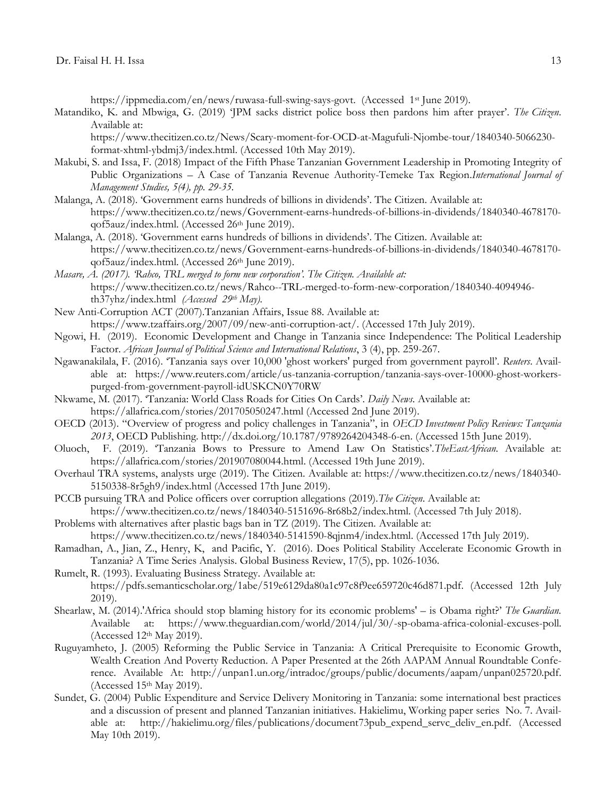[https://ippmedia.com/en/news/ruwasa-full-swing-says-govt.](https://ippmedia.com/en/news/ruwasa-full-swing-says-govt) (Accessed 1st June 2019).

Matandiko, K. and Mbwiga, G. (2019) "JPM sacks district police boss then pardons him after prayer". *The Citizen*. Available at:

[https://www.thecitizen.co.tz/News/Scary-moment-for-OCD-at-Magufuli-Njombe-tour/1840340-5066230](https://www.thecitizen.co.tz/News/Scary-moment-for-OCD-at-Magufuli-Njombe-tour/1840340-5066230-format-xhtml-ybdmj3/index.html) [format-xhtml-ybdmj3/index.html.](https://www.thecitizen.co.tz/News/Scary-moment-for-OCD-at-Magufuli-Njombe-tour/1840340-5066230-format-xhtml-ybdmj3/index.html) (Accessed 10th May 2019).

- Makubi, S. and Issa, F. (2018) [Impact of the Fifth Phase Tanzanian Government Leadership in Promoting Integrity of](http://researchersworld.com/ijms/vol5/issue4_1/Paper_04.pdf)  Public Organizations – [A Case of Tanzania Revenue Authority-Temeke Tax Region.](http://researchersworld.com/ijms/vol5/issue4_1/Paper_04.pdf)*International Journal of Management Studies, 5(4), pp. 29-35.*
- Malanga, A. (2018). "Government earns hundreds of billions in dividends". The Citizen. Available at: [https://www.thecitizen.co.tz/news/Government-earns-hundreds-of-billions-in-dividends/1840340-4678170](https://www.thecitizen.co.tz/news/Government-earns-hundreds-of-billions-in-dividends/1840340-4678170-qof5auz/index.html) [qof5auz/index.html.](https://www.thecitizen.co.tz/news/Government-earns-hundreds-of-billions-in-dividends/1840340-4678170-qof5auz/index.html) (Accessed 26<sup>th</sup> June 2019).
- Malanga, A. (2018). "Government earns hundreds of billions in dividends". The Citizen. Available at: [https://www.thecitizen.co.tz/news/Government-earns-hundreds-of-billions-in-dividends/1840340-4678170](https://www.thecitizen.co.tz/news/Government-earns-hundreds-of-billions-in-dividends/1840340-4678170-qof5auz/index.html) [qof5auz/index.html.](https://www.thecitizen.co.tz/news/Government-earns-hundreds-of-billions-in-dividends/1840340-4678170-qof5auz/index.html) (Accessed 26th June 2019).
- *Masare, A. (2017). 'Rahco, TRL merged to form new corporation'. The Citizen. Available at:*  [https://www.thecitizen.co.tz/news/Rahco--TRL-merged-to-form-new-corporation/1840340-4094946](https://www.thecitizen.co.tz/news/Rahco--TRL-merged-to-form-new-corporation/1840340-4094946-th37yhz/index.html) [th37yhz/index.html](https://www.thecitizen.co.tz/news/Rahco--TRL-merged-to-form-new-corporation/1840340-4094946-th37yhz/index.html) *(Accessed 29th May).*
- New Anti-Corruption ACT (2007).Tanzanian Affairs, Issue 88. Available at: [https://www.tzaffairs.org/2007/09/new-anti-corruption-act/.](https://www.tzaffairs.org/2007/09/new-anti-corruption-act/) (Accessed 17th July 2019).
- Ngowi, H. (2019). Economic Development and Change in Tanzania since Independence: The Political Leadership Factor. *African Journal of Political Science and International Relations*, 3 (4), pp. 259-267.
- Ngawanakilala, F. (2016). "Tanzania says over 10,000 'ghost workers' purged from government payroll". *Reuters*. Available at: https://www.reuters.com/article/us-tanzania-corruption/tanzania-says-over-10000-ghost-workerspurged-from-government-payroll-idUSKCN0Y70RW
- Nkwame, M. (2017). "Tanzania: World Class Roads for Cities On Cards". *Daily News*. Available at:
	- <https://allafrica.com/stories/201705050247.html> (Accessed 2nd June 2019).
- OECD (2013). "Overview of progress and policy challenges in Tanzania", in *OECD Investment Policy Reviews: Tanzania 2013*, OECD Publishing. [http://dx.doi.org/10.1787/9789264204348-6-en.](http://dx.doi.org/10.1787/9789264204348-6-en) (Accessed 15th June 2019).
- Oluoch, F. (2019). "Tanzania Bows to Pressure to Amend Law On Statistics".*TheEastAfrican*. Available at: [https://allafrica.com/stories/201907080044.html.](https://allafrica.com/stories/201907080044.html) (Accessed 19th June 2019).
- Overhaul TRA systems, analysts urge (2019). The Citizen. Available at: [https://www.thecitizen.co.tz/news/1840340-](https://www.thecitizen.co.tz/news/1840340-5150338-8r5gh9/index.html) [5150338-8r5gh9/index.html](https://www.thecitizen.co.tz/news/1840340-5150338-8r5gh9/index.html) (Accessed 17th June 2019).
- PCCB pursuing TRA and Police officers over corruption allegations (2019).*The Citizen*. Available at: [https://www.thecitizen.co.tz/news/1840340-5151696-8r68b2/index.html.](https://www.thecitizen.co.tz/news/1840340-5151696-8r68b2/index.html) (Accessed 7th July 2018).
- Problems with alternatives after plastic bags ban in TZ (2019). The Citizen. Available at: [https://www.thecitizen.co.tz/news/1840340-5141590-8qjnm4/index.html.](https://www.thecitizen.co.tz/news/1840340-5141590-8qjnm4/index.html) (Accessed 17th July 2019).
- Ramadhan, A., Jian, Z., Henry, K, and Pacific, Y. (2016). Does Political Stability Accelerate Economic Growth in Tanzania? A Time Series Analysis. Global Business Review, 17(5), pp. 1026-1036.
- Rumelt, R. (1993). Evaluating Business Strategy. Available at: [https://pdfs.semanticscholar.org/1abe/519e6129da80a1c97c8f9ee659720c46d871.pdf.](https://pdfs.semanticscholar.org/1abe/519e6129da80a1c97c8f9ee659720c46d871.pdf) (Accessed 12th July 2019).
- Shearlaw, M. (2014).'Africa should stop blaming history for its economic problems' is Obama right?" *The Guardian*. Available at: [https://www.theguardian.com/world/2014/jul/30/-sp-obama-africa-colonial-excuses-poll.](https://www.theguardian.com/world/2014/jul/30/-sp-obama-africa-colonial-excuses-poll) (Accessed 12th May 2019).
- Ruguyamheto, J. (2005) Reforming the Public Service in Tanzania: A Critical Prerequisite to Economic Growth, Wealth Creation And Poverty Reduction. A Paper Presented at the 26th AAPAM Annual Roundtable Conference. Available At: [http://unpan1.un.org/intradoc/groups/public/documents/aapam/unpan025720.pdf.](http://unpan1.un.org/intradoc/groups/public/documents/aapam/unpan025720.pdf) (Accessed 15th May 2019).
- Sundet, G. (2004) Public Expenditure and Service Delivery Monitoring in Tanzania: some international best practices and a discussion of present and planned Tanzanian initiatives. Hakielimu, Working paper series No. 7. Available at: [http://hakielimu.org/files/publications/document73pub\\_expend\\_servc\\_deliv\\_en.pdf.](http://hakielimu.org/files/publications/document73pub_expend_servc_deliv_en.pdf) (Accessed May 10th 2019).